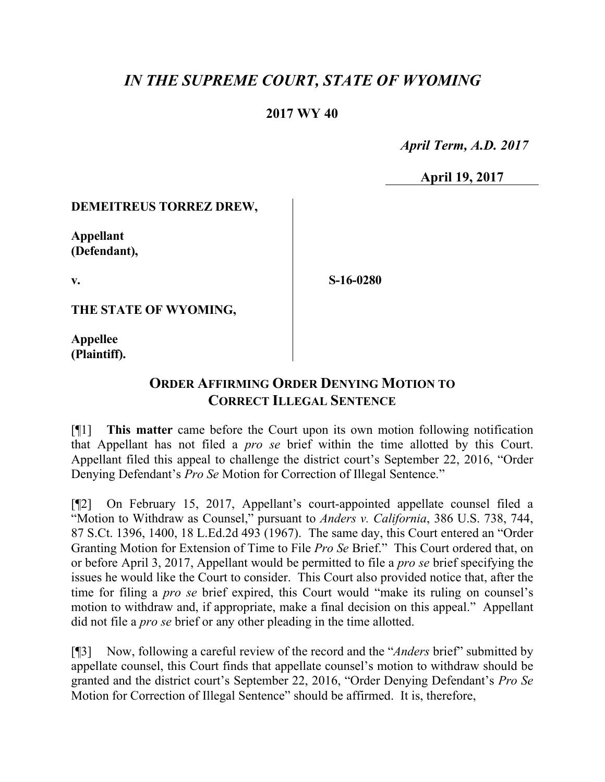# *IN THE SUPREME COURT, STATE OF WYOMING*

## **2017 WY 40**

 *April Term, A.D. 2017*

**April 19, 2017**

#### **DEMEITREUS TORREZ DREW,**

**Appellant (Defendant),**

**v.**

**S-16-0280**

**THE STATE OF WYOMING,**

**Appellee (Plaintiff).**

## **ORDER AFFIRMING ORDER DENYING MOTION TO CORRECT ILLEGAL SENTENCE**

[¶1] **This matter** came before the Court upon its own motion following notification that Appellant has not filed a *pro se* brief within the time allotted by this Court. Appellant filed this appeal to challenge the district court's September 22, 2016, "Order Denying Defendant's *Pro Se* Motion for Correction of Illegal Sentence."

[¶2] On February 15, 2017, Appellant's court-appointed appellate counsel filed a "Motion to Withdraw as Counsel," pursuant to *Anders v. California*, 386 U.S. 738, 744, 87 S.Ct. 1396, 1400, 18 L.Ed.2d 493 (1967). The same day, this Court entered an "Order Granting Motion for Extension of Time to File *Pro Se* Brief." This Court ordered that, on or before April 3, 2017, Appellant would be permitted to file a *pro se* brief specifying the issues he would like the Court to consider. This Court also provided notice that, after the time for filing a *pro se* brief expired, this Court would "make its ruling on counsel's motion to withdraw and, if appropriate, make a final decision on this appeal." Appellant did not file a *pro se* brief or any other pleading in the time allotted.

[¶3] Now, following a careful review of the record and the "*Anders* brief" submitted by appellate counsel, this Court finds that appellate counsel's motion to withdraw should be granted and the district court's September 22, 2016, "Order Denying Defendant's *Pro Se* Motion for Correction of Illegal Sentence" should be affirmed. It is, therefore,